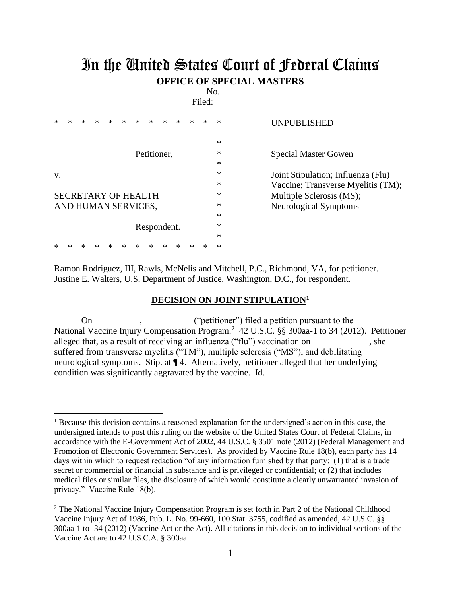## In the United States Court of Federal Claims **OFFICE OF SPECIAL MASTERS**

No.

Filed:

| *  | × | *                          |   | $\ast$ | $\ast$ | $\ast$      | $\ast$ | $\ast$ | * |   | * | ∗ | <b>UNPUBLISHED</b>                 |
|----|---|----------------------------|---|--------|--------|-------------|--------|--------|---|---|---|---|------------------------------------|
|    |   |                            |   |        |        |             |        |        |   |   |   |   |                                    |
|    |   |                            |   |        |        |             |        |        |   |   |   | ∗ |                                    |
|    |   |                            |   |        |        | Petitioner, |        |        |   |   |   | ∗ | <b>Special Master Gowen</b>        |
|    |   |                            |   |        |        |             |        |        |   |   |   | ∗ |                                    |
| V. |   |                            |   |        |        |             |        |        |   |   |   | * | Joint Stipulation; Influenza (Flu) |
|    |   |                            |   |        |        |             |        |        |   |   |   | ∗ | Vaccine; Transverse Myelitis (TM); |
|    |   | <b>SECRETARY OF HEALTH</b> |   |        |        |             |        |        |   |   |   | * | Multiple Sclerosis (MS);           |
|    |   | AND HUMAN SERVICES,        |   |        |        |             |        |        |   |   |   | ∗ | Neurological Symptoms              |
|    |   |                            |   |        |        |             |        |        |   |   |   | ∗ |                                    |
|    |   |                            |   |        |        | Respondent. |        |        |   |   |   | ∗ |                                    |
|    |   |                            |   |        |        |             |        |        |   |   |   | ∗ |                                    |
| *  |   | *                          | ∗ |        | *      | *           | ∗      | ∗      | * | ∗ |   | ∗ |                                    |

Ramon Rodriguez, III, Rawls, McNelis and Mitchell, P.C., Richmond, VA, for petitioner. Justine E. Walters, U.S. Department of Justice, Washington, D.C., for respondent.

## **DECISION ON JOINT STIPULATION<sup>1</sup>**

On , ("petitioner") filed a petition pursuant to the National Vaccine Injury Compensation Program.<sup>2</sup> 42 U.S.C. §§ 300aa-1 to 34 (2012). Petitioner alleged that, as a result of receiving an influenza ("flu") vaccination on , she suffered from transverse myelitis ("TM"), multiple sclerosis ("MS"), and debilitating neurological symptoms. Stip. at ¶ 4. Alternatively, petitioner alleged that her underlying condition was significantly aggravated by the vaccine. Id.

<sup>&</sup>lt;sup>1</sup> Because this decision contains a reasoned explanation for the undersigned's action in this case, the undersigned intends to post this ruling on the website of the United States Court of Federal Claims, in accordance with the E-Government Act of 2002, 44 U.S.C. § 3501 note (2012) (Federal Management and Promotion of Electronic Government Services). As provided by Vaccine Rule 18(b), each party has 14 days within which to request redaction "of any information furnished by that party: (1) that is a trade secret or commercial or financial in substance and is privileged or confidential; or (2) that includes medical files or similar files, the disclosure of which would constitute a clearly unwarranted invasion of privacy." Vaccine Rule 18(b).

<sup>&</sup>lt;sup>2</sup> The National Vaccine Injury Compensation Program is set forth in Part 2 of the National Childhood Vaccine Injury Act of 1986, Pub. L. No. 99-660, 100 Stat. 3755, codified as amended, 42 U.S.C. §§ 300aa-1 to -34 (2012) (Vaccine Act or the Act). All citations in this decision to individual sections of the Vaccine Act are to 42 U.S.C.A. § 300aa.